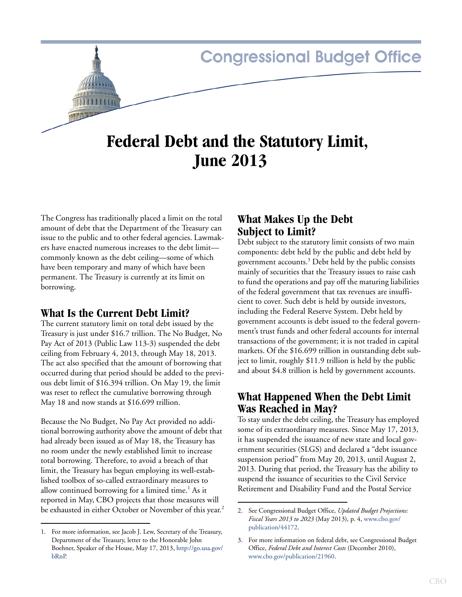# **Congressional Budget Office Federal Debt and the Statutory Limit,**

**June 2013**

The Congress has traditionally placed a limit on the total amount of debt that the Department of the Treasury can issue to the public and to other federal agencies. Lawmakers have enacted numerous increases to the debt limit commonly known as the debt ceiling—some of which have been temporary and many of which have been permanent. The Treasury is currently at its limit on borrowing.

## **What Is the Current Debt Limit?**

The current statutory limit on total debt issued by the Treasury is just under \$16.7 trillion. The No Budget, No Pay Act of 2013 (Public Law 113-3) suspended the debt ceiling from February 4, 2013, through May 18, 2013. The act also specified that the amount of borrowing that occurred during that period should be added to the previous debt limit of \$16.394 trillion. On May 19, the limit was reset to reflect the cumulative borrowing through May 18 and now stands at \$16.699 trillion.

Because the No Budget, No Pay Act provided no additional borrowing authority above the amount of debt that had already been issued as of May 18, the Treasury has no room under the newly established limit to increase total borrowing. Therefore, to avoid a breach of that limit, the Treasury has begun employing its well-established toolbox of so-called extraordinary measures to allow continued borrowing for a limited time.<sup>1</sup> As it reported in May, CBO projects that those measures will be exhausted in either October or November of this year.<sup>2</sup>

# **What Makes Up the Debt Subject to Limit?**

Debt subject to the statutory limit consists of two main components: debt held by the public and debt held by government accounts.<sup>3</sup> Debt held by the public consists mainly of securities that the Treasury issues to raise cash to fund the operations and pay off the maturing liabilities of the federal government that tax revenues are insufficient to cover. Such debt is held by outside investors, including the Federal Reserve System. Debt held by government accounts is debt issued to the federal government's trust funds and other federal accounts for internal transactions of the government; it is not traded in capital markets. Of the \$16.699 trillion in outstanding debt subject to limit, roughly \$11.9 trillion is held by the public and about \$4.8 trillion is held by government accounts.

# **What Happened When the Debt Limit Was Reached in May?**

To stay under the debt ceiling, the Treasury has employed some of its extraordinary measures. Since May 17, 2013, it has suspended the issuance of new state and local government securities (SLGS) and declared a "debt issuance suspension period" from May 20, 2013, until August 2, 2013. During that period, the Treasury has the ability to suspend the issuance of securities to the Civil Service Retirement and Disability Fund and the Postal Service

<sup>1.</sup> For more information, see Jacob J. Lew, Secretary of the Treasury, Department of the Treasury, letter to the Honorable John Boehner, Speaker of the House, May 17, 2013, [http://go.usa.gov/](http://www.treasury.gov/connect/blog/Pages/Secretary-Lew-Sends-Debt-Limit-Letter-to-Congress.aspx) [bRnP.](http://www.treasury.gov/connect/blog/Pages/Secretary-Lew-Sends-Debt-Limit-Letter-to-Congress.aspx)

<sup>2.</sup> See Congressional Budget Office, *Updated Budget Projections: Fiscal Years 2013 to 2023* (May 2013), p. 4, [www.cbo.gov/](http://www.cbo.gov/publication/44172) [publication/44172](http://www.cbo.gov/publication/44172).

<sup>3.</sup> For more information on federal debt, see Congressional Budget Office, *Federal Debt and Interest Costs* (December 2010), [www.cbo.gov/publication/21960](http://www.cbo.gov/publication/21960).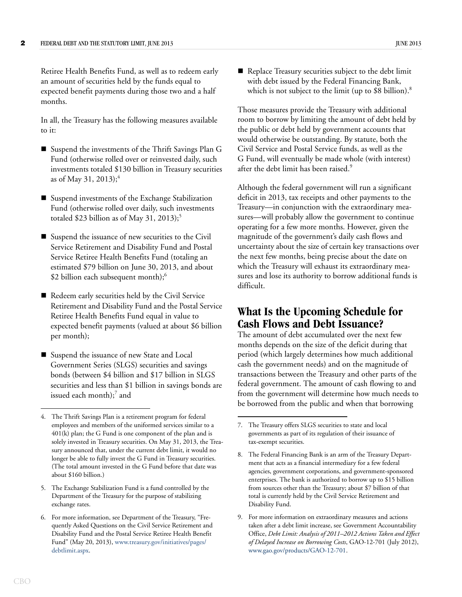Retiree Health Benefits Fund, as well as to redeem early an amount of securities held by the funds equal to expected benefit payments during those two and a half months.

In all, the Treasury has the following measures available to it:

- Suspend the investments of the Thrift Savings Plan G Fund (otherwise rolled over or reinvested daily, such investments totaled \$130 billion in Treasury securities as of May 31, 2013);<sup>4</sup>
- Suspend investments of the Exchange Stabilization Fund (otherwise rolled over daily, such investments totaled \$23 billion as of May 31, 2013);<sup>5</sup>
- Suspend the issuance of new securities to the Civil Service Retirement and Disability Fund and Postal Service Retiree Health Benefits Fund (totaling an estimated \$79 billion on June 30, 2013, and about \$2 billion each subsequent month);<sup>6</sup>
- Redeem early securities held by the Civil Service Retirement and Disability Fund and the Postal Service Retiree Health Benefits Fund equal in value to expected benefit payments (valued at about \$6 billion per month);
- Suspend the issuance of new State and Local Government Series (SLGS) securities and savings bonds (between \$4 billion and \$17 billion in SLGS securities and less than \$1 billion in savings bonds are issued each month);<sup>7</sup> and

- 5. The Exchange Stabilization Fund is a fund controlled by the Department of the Treasury for the purpose of stabilizing exchange rates.
- 6. For more information, see Department of the Treasury, "Frequently Asked Questions on the Civil Service Retirement and Disability Fund and the Postal Service Retiree Health Benefit Fund" (May 20, 2013), [www.treasury.gov/initiatives/pages/](http://www.treasury.gov/initiatives/pages/debtlimit.aspx) [debtlimit.aspx.](http://www.treasury.gov/initiatives/pages/debtlimit.aspx)

Replace Treasury securities subject to the debt limit with debt issued by the Federal Financing Bank, which is not subject to the limit (up to  $$8$  billion).<sup>8</sup>

Those measures provide the Treasury with additional room to borrow by limiting the amount of debt held by the public or debt held by government accounts that would otherwise be outstanding. By statute, both the Civil Service and Postal Service funds, as well as the G Fund, will eventually be made whole (with interest) after the debt limit has been raised.<sup>9</sup>

Although the federal government will run a significant deficit in 2013, tax receipts and other payments to the Treasury—in conjunction with the extraordinary measures—will probably allow the government to continue operating for a few more months. However, given the magnitude of the government's daily cash flows and uncertainty about the size of certain key transactions over the next few months, being precise about the date on which the Treasury will exhaust its extraordinary measures and lose its authority to borrow additional funds is difficult.

## **What Is the Upcoming Schedule for Cash Flows and Debt Issuance?**

The amount of debt accumulated over the next few months depends on the size of the deficit during that period (which largely determines how much additional cash the government needs) and on the magnitude of transactions between the Treasury and other parts of the federal government. The amount of cash flowing to and from the government will determine how much needs to be borrowed from the public and when that borrowing

<sup>4.</sup> The Thrift Savings Plan is a retirement program for federal employees and members of the uniformed services similar to a 401(k) plan; the G Fund is one component of the plan and is solely invested in Treasury securities. On May 31, 2013, the Treasury announced that, under the current debt limit, it would no longer be able to fully invest the G Fund in Treasury securities. (The total amount invested in the G Fund before that date was about \$160 billion.)

<sup>7.</sup> The Treasury offers SLGS securities to state and local governments as part of its regulation of their issuance of tax-exempt securities.

<sup>8.</sup> The Federal Financing Bank is an arm of the Treasury Department that acts as a financial intermediary for a few federal agencies, government corporations, and government-sponsored enterprises. The bank is authorized to borrow up to \$15 billion from sources other than the Treasury; about \$7 billion of that total is currently held by the Civil Service Retirement and Disability Fund.

<sup>9.</sup> For more information on extraordinary measures and actions taken after a debt limit increase, see Government Accountability Office, *Debt Limit: Analysis of 2011–2012 Actions Taken and Effect of Delayed Increase on Borrowing Costs*[, GAO-12-701 \(July 2012\),](http://www.cbo.govwww.gao.gov/products/GAO-12-701)  www.gao.gov/products/GAO-12-701.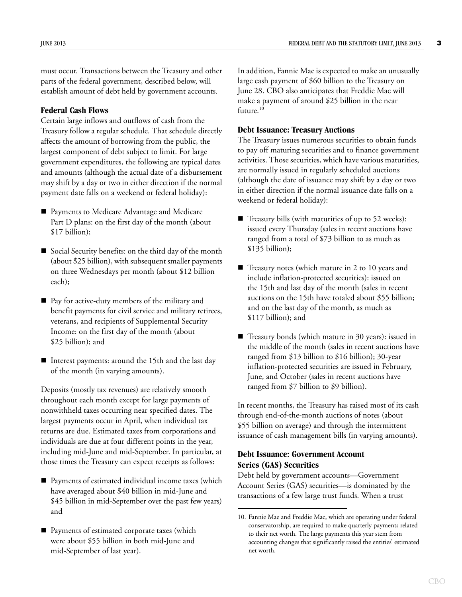must occur. Transactions between the Treasury and other parts of the federal government, described below, will establish amount of debt held by government accounts.

#### **Federal Cash Flows**

Certain large inflows and outflows of cash from the Treasury follow a regular schedule. That schedule directly affects the amount of borrowing from the public, the largest component of debt subject to limit. For large government expenditures, the following are typical dates and amounts (although the actual date of a disbursement may shift by a day or two in either direction if the normal payment date falls on a weekend or federal holiday):

- **Payments to Medicare Advantage and Medicare** Part D plans: on the first day of the month (about \$17 billion);
- Social Security benefits: on the third day of the month (about \$25 billion), with subsequent smaller payments on three Wednesdays per month (about \$12 billion each);
- Pay for active-duty members of the military and benefit payments for civil service and military retirees, veterans, and recipients of Supplemental Security Income: on the first day of the month (about \$25 billion); and
- Interest payments: around the 15th and the last day of the month (in varying amounts).

Deposits (mostly tax revenues) are relatively smooth throughout each month except for large payments of nonwithheld taxes occurring near specified dates. The largest payments occur in April, when individual tax returns are due. Estimated taxes from corporations and individuals are due at four different points in the year, including mid-June and mid-September. In particular, at those times the Treasury can expect receipts as follows:

- Payments of estimated individual income taxes (which have averaged about \$40 billion in mid-June and \$45 billion in mid-September over the past few years) and
- Payments of estimated corporate taxes (which were about \$55 billion in both mid-June and mid-September of last year).

In addition, Fannie Mae is expected to make an unusually large cash payment of \$60 billion to the Treasury on June 28. CBO also anticipates that Freddie Mac will make a payment of around \$25 billion in the near future.<sup>10</sup>

#### **Debt Issuance: Treasury Auctions**

The Treasury issues numerous securities to obtain funds to pay off maturing securities and to finance government activities. Those securities, which have various maturities, are normally issued in regularly scheduled auctions (although the date of issuance may shift by a day or two in either direction if the normal issuance date falls on a weekend or federal holiday):

- Treasury bills (with maturities of up to 52 weeks): issued every Thursday (sales in recent auctions have ranged from a total of \$73 billion to as much as \$135 billion);
- Treasury notes (which mature in 2 to 10 years and include inflation-protected securities): issued on the 15th and last day of the month (sales in recent auctions on the 15th have totaled about \$55 billion; and on the last day of the month, as much as \$117 billion); and
- Treasury bonds (which mature in 30 years): issued in the middle of the month (sales in recent auctions have ranged from \$13 billion to \$16 billion); 30-year inflation-protected securities are issued in February, June, and October (sales in recent auctions have ranged from \$7 billion to \$9 billion).

In recent months, the Treasury has raised most of its cash through end-of-the-month auctions of notes (about \$55 billion on average) and through the intermittent issuance of cash management bills (in varying amounts).

### **Debt Issuance: Government Account Series (GAS) Securities**

Debt held by government accounts—Government Account Series (GAS) securities—is dominated by the transactions of a few large trust funds. When a trust

<sup>10.</sup> Fannie Mae and Freddie Mac, which are operating under federal conservatorship, are required to make quarterly payments related to their net worth. The large payments this year stem from accounting changes that significantly raised the entities' estimated net worth.